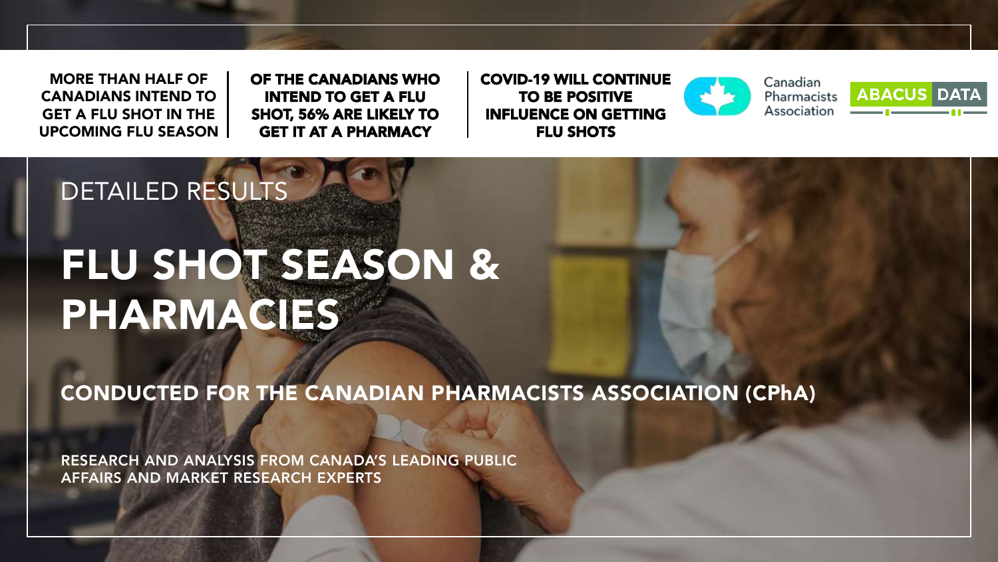MORE THAN HALF OF CANADIANS INTEND TO GET A FLU SHOT IN THE UPCOMING FLU SEASON OF THE CANADIANS WHO INTEND TO GET A FLU SHOT, 56% ARE LIKELY TO GET IT AT A PHARMACY





Canadian Pharmacists Association

**ABACUS DATA** 

# DETAILED RESULTS FLU SHOT SEASON & PHARMACIES

CONDUCTED FOR THE CANADIAN PHARMACISTS ASSOCIATION (CPhA)

RESEARCH AND ANALYSIS FROM CANADA'S LEADING PUBLIC AFFAIRS AND MARKET RESEARCH EXPERTS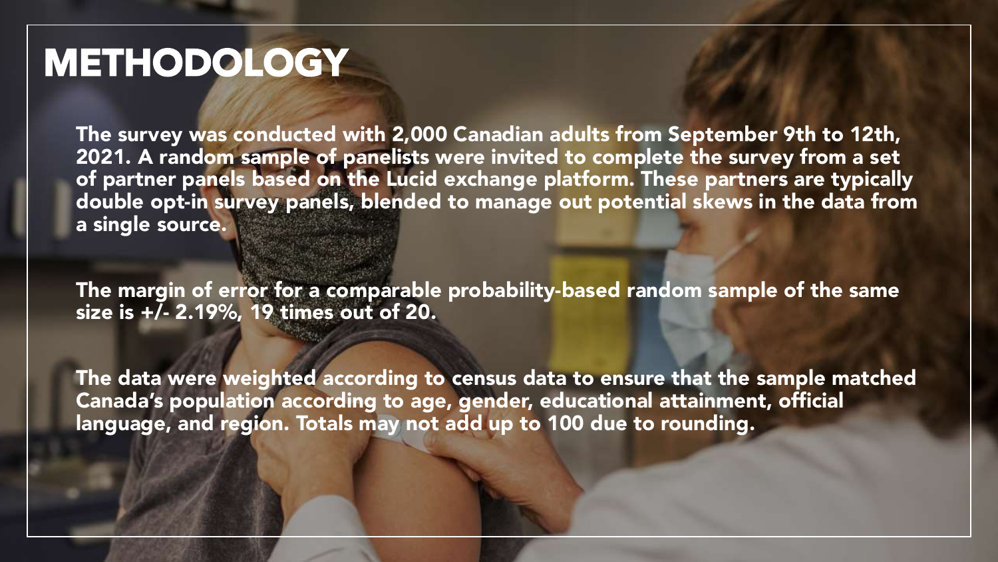## **METHODOLOGY**

The survey was conducted with 2,000 Canadian adults from September 9th to 12th, 2021. A random sample of panelists were invited to complete the survey from a set of partner panels based on the Lucid exchange platform. These partners are typically double opt-in survey panels, blended to manage out potential skews in the data from a single source.

The margin of error for a comparable probability-based random sample of the same size is +/- 2.19%, 19 times out of 20.

The data were weighted according to census data to ensure that the sample matched Canada's population according to age, gender, educational attainment, official language, and region. Totals may not add up to 100 due to rounding.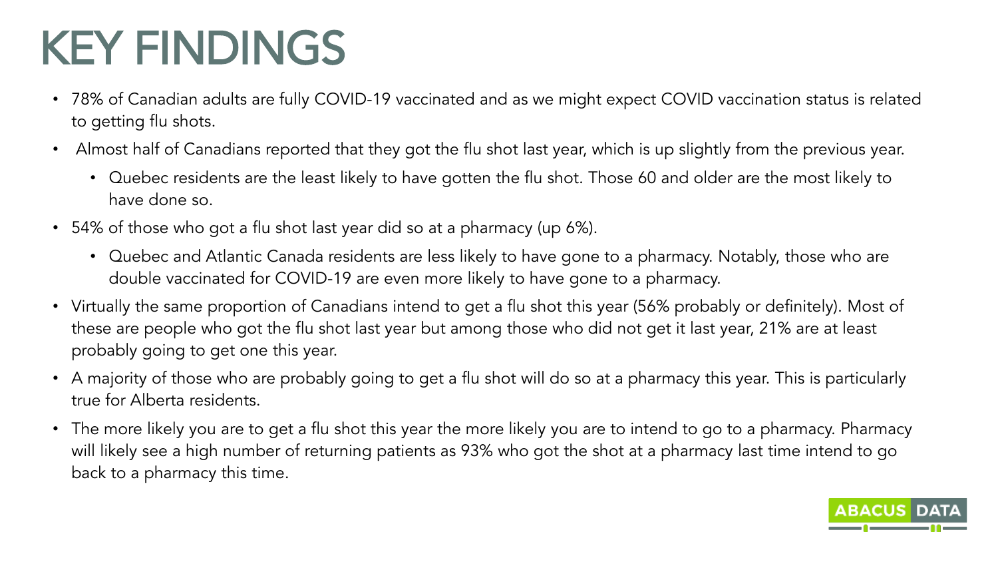## KEY FINDINGS

- 78% of Canadian adults are fully COVID-19 vaccinated and as we might expect COVID vaccination status is related to getting flu shots.
- Almost half of Canadians reported that they got the flu shot last year, which is up slightly from the previous year.
	- Quebec residents are the least likely to have gotten the flu shot. Those 60 and older are the most likely to have done so.
- 54% of those who got a flu shot last year did so at a pharmacy (up 6%).
	- Quebec and Atlantic Canada residents are less likely to have gone to a pharmacy. Notably, those who are double vaccinated for COVID-19 are even more likely to have gone to a pharmacy.
- Virtually the same proportion of Canadians intend to get a flu shot this year (56% probably or definitely). Most of these are people who got the flu shot last year but among those who did not get it last year, 21% are at least probably going to get one this year.
- A majority of those who are probably going to get a flu shot will do so at a pharmacy this year. This is particularly true for Alberta residents.
- The more likely you are to get a flu shot this year the more likely you are to intend to go to a pharmacy. Pharmacy will likely see a high number of returning patients as 93% who got the shot at a pharmacy last time intend to go back to a pharmacy this time.

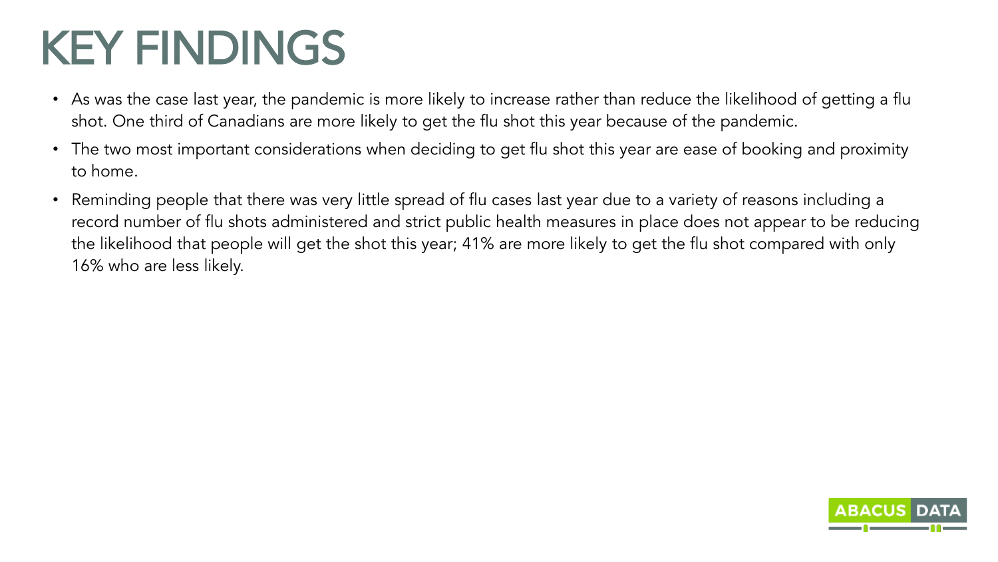## KEY FINDINGS

- As was the case last year, the pandemic is more likely to increase rather than reduce the likelihood of getting a flu shot. One third of Canadians are more likely to get the flu shot this year because of the pandemic.
- The two most important considerations when deciding to get flu shot this year are ease of booking and proximity to home.
- Reminding people that there was very little spread of flu cases last year due to a variety of reasons including a record number of flu shots administered and strict public health measures in place does not appear to be reducing the likelihood that people will get the shot this year; 41% are more likely to get the flu shot compared with only 16% who are less likely.

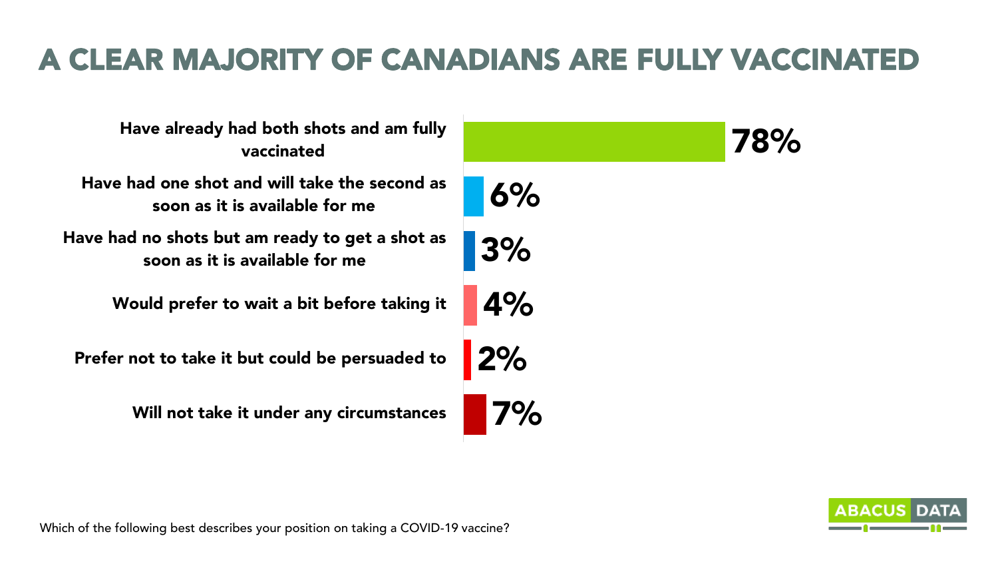## A CLEAR MAJORITY OF CANADIANS ARE FULLY VACCINATED

Have already had both shots and am fully vaccinated

Have had one shot and will take the second as soon as it is available for me

Have had no shots but am ready to get a shot as soon as it is available for me

Would prefer to wait a bit before taking it

Prefer not to take it but could be persuaded to

Will not take it under any circumstances

6% 3% 4% 2% 7%

78%



Which of the following best describes your position on taking a COVID-19 vaccine?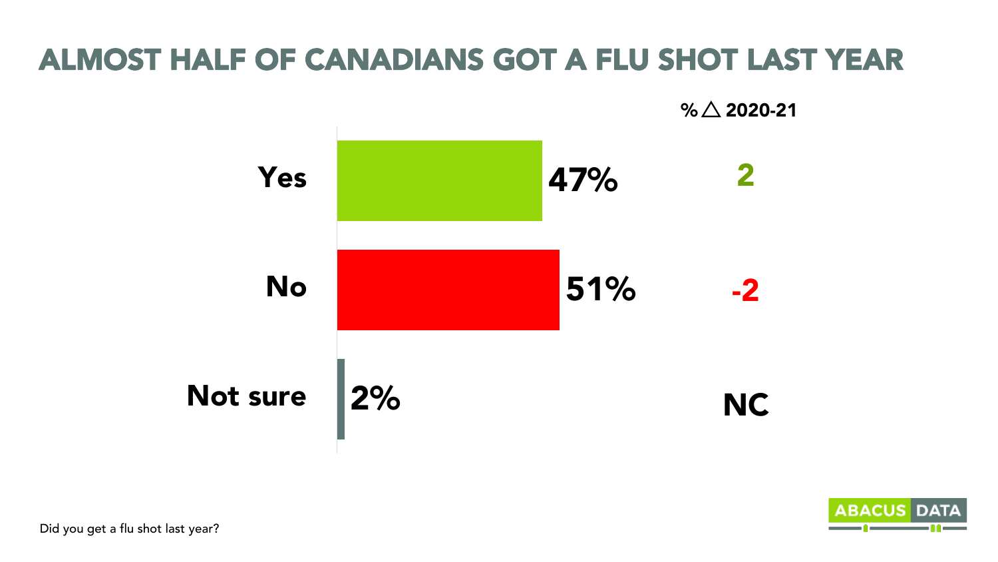## ALMOST HALF OF CANADIANS GOT A FLU SHOT LAST YEAR

 $%  $\triangle$  2020-21$ 



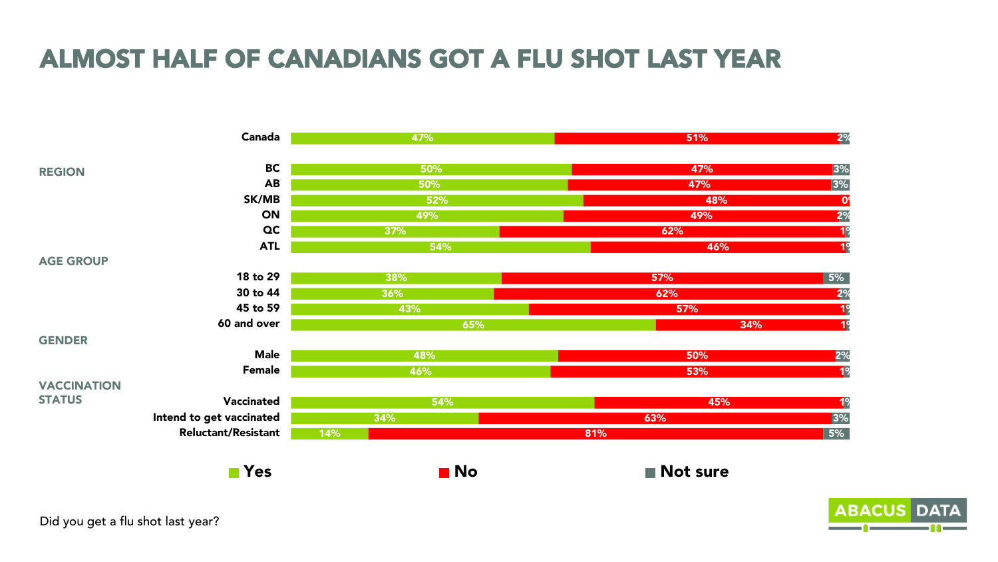#### ALMOST HALF OF CANADIANS GOT A FLU SHOT LAST YEAR

|                    | Canada                     |     | 47%               |     | 51%             | 2%             |
|--------------------|----------------------------|-----|-------------------|-----|-----------------|----------------|
|                    |                            |     |                   |     |                 |                |
| <b>REGION</b>      | <b>BC</b>                  |     | 50%               |     | 47%             | 3%             |
|                    | <b>AB</b>                  |     | 50%               |     | 47%             | 3%             |
|                    | SK/MB                      |     | 52%               |     | 48%             | 0              |
|                    | ON                         |     | 49%               |     | 49%             | 2%             |
|                    | $\alpha$                   | 37% |                   |     | 62%             | $1^\circ$      |
|                    | <b>ATL</b>                 |     | 54%               |     | 46%             | $1^\circ$      |
| <b>AGE GROUP</b>   |                            |     |                   |     |                 |                |
|                    | 18 to 29                   | 38% |                   |     | 57%             | 5%             |
|                    | 30 to 44                   | 36% |                   |     | 62%             | 2%             |
|                    | 45 to 59                   |     | 43%               |     | 57%             | $1^{\circ}$    |
|                    | 60 and over                |     | 65%               |     | 34%             | $1^\circ$      |
| <b>GENDER</b>      |                            |     |                   |     |                 |                |
|                    | <b>Male</b>                |     | 48%               |     | 50%             | 2%             |
|                    | <b>Female</b>              |     | 46%               |     | 53%             | 1 <sup>°</sup> |
| <b>VACCINATION</b> |                            |     |                   |     |                 |                |
| <b>STATUS</b>      | Vaccinated                 |     | 54%               |     | 45%             | 1 <sup>°</sup> |
|                    | Intend to get vaccinated   | 34% |                   |     | 63%             | 3%             |
|                    | <b>Reluctant/Resistant</b> | 14% |                   | 81% |                 | 5%             |
|                    |                            |     |                   |     |                 |                |
|                    | $\blacksquare$ Yes         |     | $\blacksquare$ No |     | <b>Not sure</b> |                |



Did you get a flu shot last year?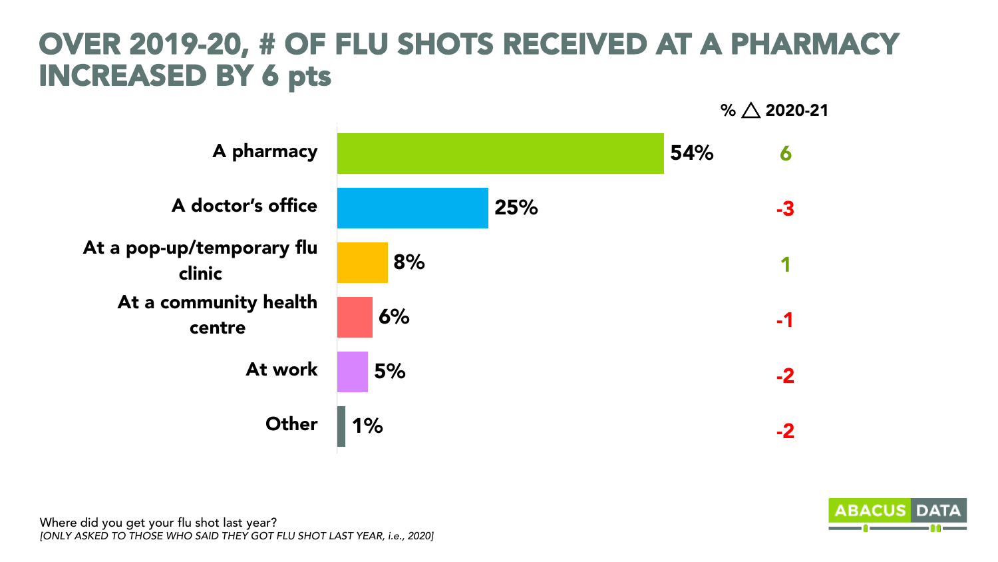## OVER 2019-20, # OF FLU SHOTS RECEIVED AT A PHARMACY INCREASED BY 6 pts



Where did you get your flu shot last year? *[ONLY ASKED TO THOSE WHO SAID THEY GOT FLU SHOT LAST YEAR, i.e., 2020]*

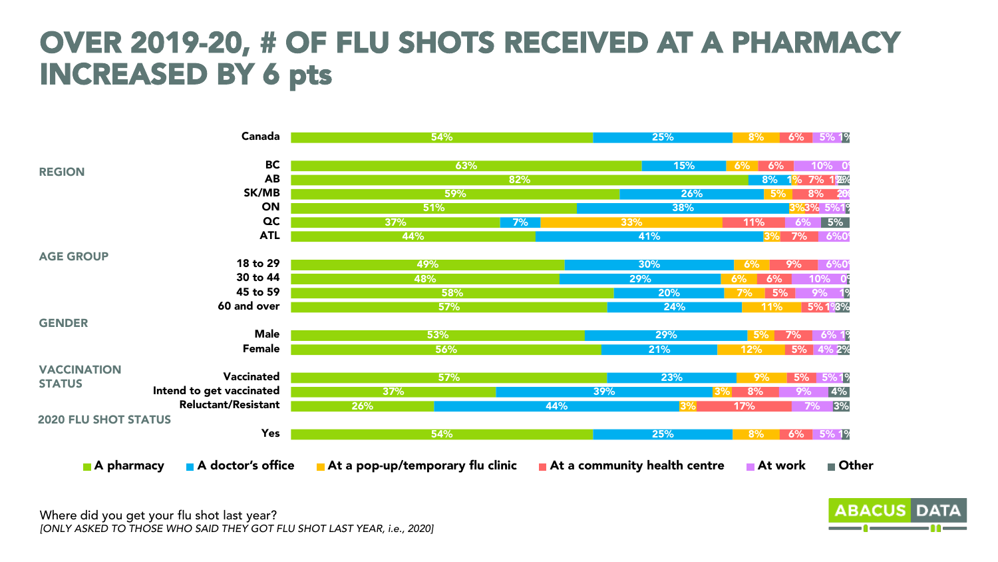## OVER 2019-20, # OF FLU SHOTS RECEIVED AT A PHARMACY INCREASED BY 6 pts

|                             | Canada                     | 54%                              |     | 25%                          | 8%                     | $6\%$ 5% 1%                |
|-----------------------------|----------------------------|----------------------------------|-----|------------------------------|------------------------|----------------------------|
| <b>REGION</b>               | <b>BC</b>                  | 63%                              |     | 15%                          | 6%<br>6%               | 10%<br>- 0'                |
|                             | <b>AB</b>                  |                                  | 82% |                              | 8%                     | 7% 128%                    |
|                             | SK/MB                      | 59%                              |     | 26%                          | 5%                     | 8%<br>20                   |
|                             | ON<br>QC                   | 51%                              |     | 38%                          |                        | 3%3% 5%19                  |
|                             | <b>ATL</b>                 | 37%<br>44%                       | 7%  | 33%<br>41%                   | 11%                    | $\overline{5\%}$<br>6%     |
| <b>AGE GROUP</b>            | 18 to 29                   | 49%                              |     | 30%                          | 6%                     | 7%<br>6%0<br>6%0<br>9%     |
|                             | 30 to 44                   | 48%                              |     | 29%                          | 6%<br>6%               | <b>10% 09</b>              |
|                             | 45 to 59                   | 58%                              |     | 20%                          | 7%                     | 1 <sup>9</sup><br>5%<br>9% |
|                             | 60 and over                | 57%                              |     | 24%                          | 11%                    | 5%1%%                      |
| <b>GENDER</b>               |                            |                                  |     |                              |                        |                            |
|                             | <b>Male</b>                | 53%                              |     | 29%                          | 5%                     | 7%<br>6% 19                |
|                             | <b>Female</b>              | 56%                              |     | 21%                          | 12%                    | 5% 4% 2%                   |
| <b>VACCINATION</b>          | Vaccinated                 | 57%                              |     | 23%                          | 9%                     | 5%<br>5%1%                 |
| <b>STATUS</b>               | Intend to get vaccinated   | 37%                              | 39% |                              | 8%<br>3%               | 4%<br>9%                   |
|                             | <b>Reluctant/Resistant</b> | 26%                              | 44% | 3%                           | 17%                    | 3%<br>7%                   |
| <b>2020 FLU SHOT STATUS</b> |                            |                                  |     |                              |                        |                            |
|                             | Yes                        | 54%                              |     | 25%                          | 8%                     | 6% 5% 1%                   |
| A pharmacy                  | A doctor's office          | At a pop-up/temporary flu clinic |     | At a community health centre | $\blacksquare$ At work | $\blacksquare$ Other       |

Where did you get your flu shot last year? *[ONLY ASKED TO THOSE WHO SAID THEY GOT FLU SHOT LAST YEAR, i.e., 2020]*

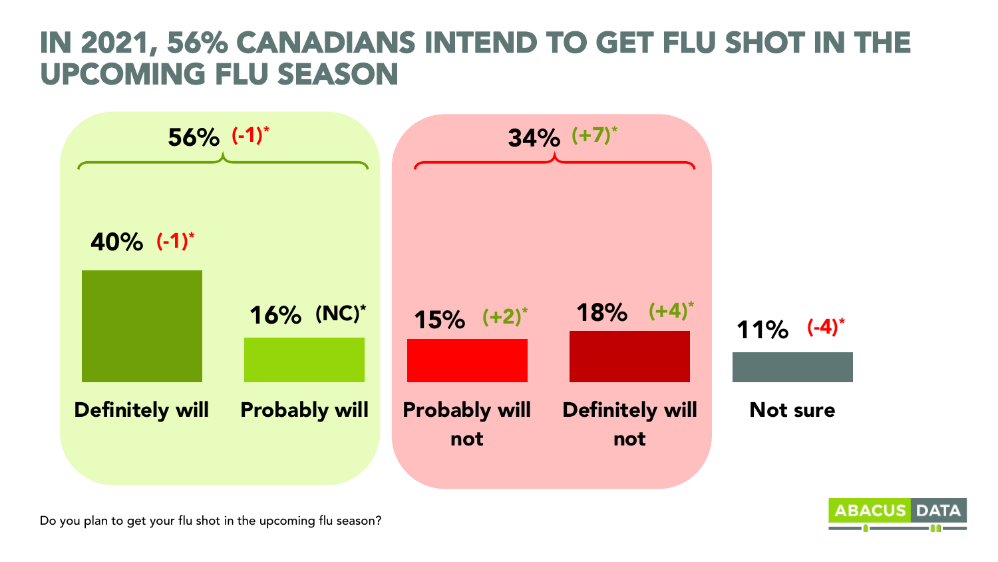### IN 2021, 56% CANADIANS INTEND TO GET FLU SHOT IN THE UPCOMING FLU SEASON



Do you plan to get your flu shot in the upcoming flu season?

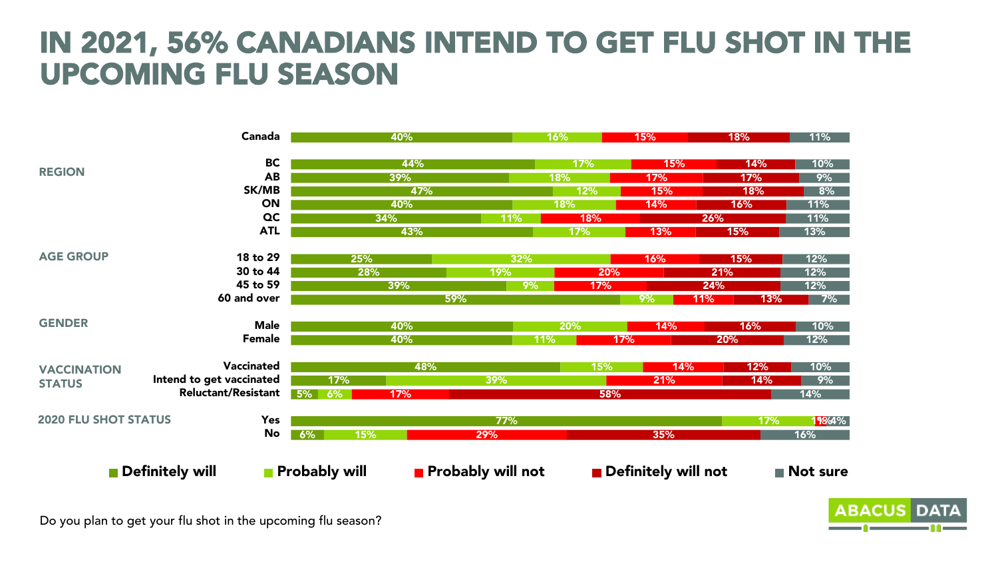### IN 2021, 56% CANADIANS INTEND TO GET FLU SHOT IN THE UPCOMING FLU SEASON

|                             | Canada                     | 40%                  |                          |     | 16%        | 15%                 | 18%        | 11%               |
|-----------------------------|----------------------------|----------------------|--------------------------|-----|------------|---------------------|------------|-------------------|
|                             | <b>BC</b>                  |                      | 44%                      |     | 17%        | 15%                 | 14%        | 10%               |
| <b>REGION</b>               | <b>AB</b>                  | 39%                  |                          |     | 18%        | 17%                 | 17%        | 9%                |
|                             | SK/MB                      |                      | 47%                      |     | 12%        | 15%                 | 18%        | 8%                |
|                             | ON                         | 40%                  |                          |     | 18%        | 14%                 | 16%        | 11%               |
|                             | $\alpha$                   | 34%                  |                          | 11% | 18%        |                     | 26%        | 11%               |
|                             | <b>ATL</b>                 |                      | 43%                      |     | 17%        | 13%                 | 15%        | 13%               |
| <b>AGE GROUP</b>            | 18 to 29                   | 25%                  |                          | 32% |            | 16%                 | 15%        | 12%               |
|                             | 30 to 44                   | 28%                  |                          | 19% | 20%        |                     | 21%        | 12%               |
|                             | 45 to 59                   | 39%                  |                          | 9%  | 17%        |                     | 24%        | 12%               |
|                             | 60 and over                |                      | 59%                      |     |            | 9%                  | 11%<br>13% | $7\%$             |
| <b>GENDER</b>               | <b>Male</b>                | 40%                  |                          |     | <b>20%</b> | 14%                 | 16%        | 10%               |
|                             | <b>Female</b>              | 40%                  |                          | 11% | 17%        |                     | 20%        | 12%               |
| <b>VACCINATION</b>          | Vaccinated                 |                      | 48%                      |     | 15%        | 14%                 | 12%        | 10%               |
| <b>STATUS</b>               | Intend to get vaccinated   | 17%                  |                          | 39% |            | 21%                 | 14%        | 9%                |
|                             | <b>Reluctant/Resistant</b> | 5%<br>6%<br>17%      |                          |     | 58%        |                     |            | 14%               |
| <b>2020 FLU SHOT STATUS</b> | Yes                        |                      |                          | 77% |            |                     | 17%        | 198/4%            |
|                             | No                         | 6%<br>15%            |                          | 29% |            | 35%                 |            | 16%               |
|                             | Definitely will            | <b>Probably will</b> | <b>Probably will not</b> |     |            | Definitely will not |            | <b>■ Not sure</b> |

**ABACU** 

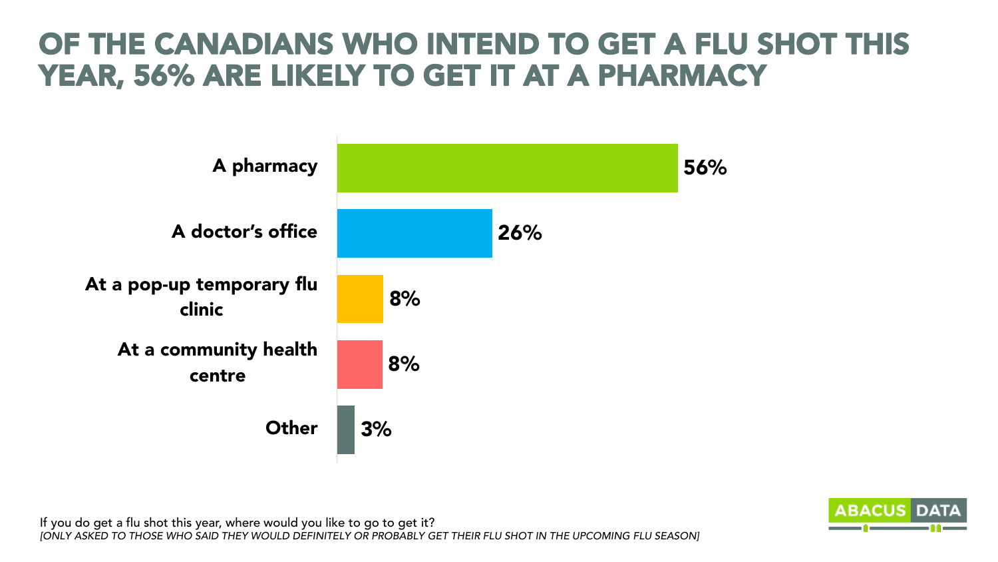## OF THE CANADIANS WHO INTEND TO GET A FLU SHOT THIS YEAR, 56% ARE LIKELY TO GET IT AT A PHARMACY



If you do get a flu shot this year, where would you like to go to get it? *[ONLY ASKED TO THOSE WHO SAID THEY WOULD DEFINITELY OR PROBABLY GET THEIR FLU SHOT IN THE UPCOMING FLU SEASON]*

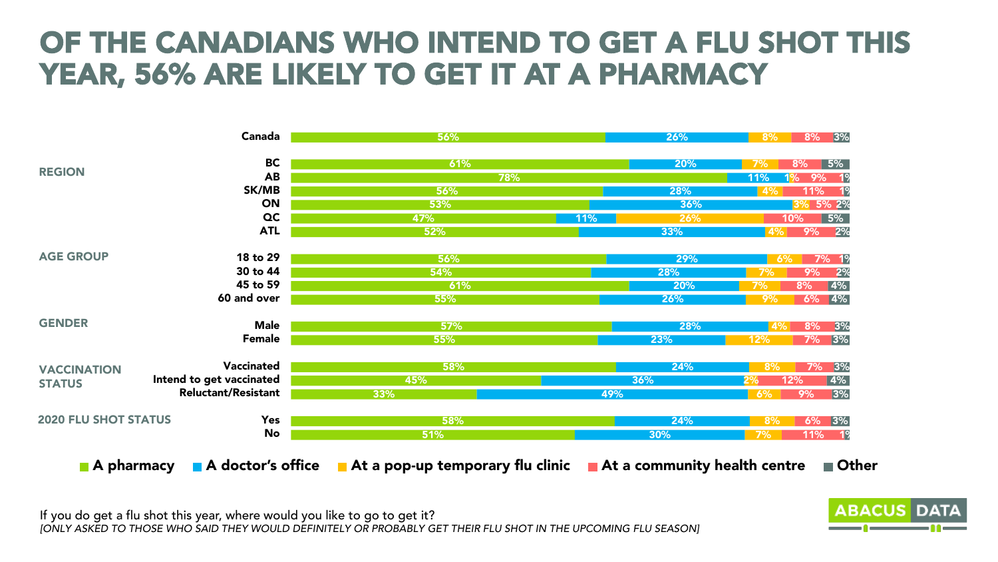## OF THE CANADIANS WHO INTEND TO GET A FLU SHOT THIS YEAR, 56% ARE LIKELY TO GET IT AT A PHARMACY

|                             | Canada                     | 56%                                                                             |     | 26% | 8%         | 3%<br>8%              |
|-----------------------------|----------------------------|---------------------------------------------------------------------------------|-----|-----|------------|-----------------------|
| <b>REGION</b>               | <b>BC</b>                  | 61%                                                                             |     | 20% | 7%<br>8%   | 5%                    |
|                             | <b>AB</b>                  | 78%                                                                             |     |     | <b>11%</b> | $-1$<br>9%            |
|                             | SK/MB                      | 56%                                                                             |     | 28% |            | 1 <sup>9</sup><br>11% |
|                             | ON                         | 53%                                                                             |     | 36% |            | 5% 2%                 |
|                             | QC                         | 47%                                                                             | 11% | 26% | 10%        | 5%                    |
|                             | <b>ATL</b>                 | 52%                                                                             |     | 33% | 4%         | 9%<br>2%              |
|                             |                            |                                                                                 |     |     |            |                       |
| <b>AGE GROUP</b>            | 18 to 29                   | 56%                                                                             |     | 29% | 6%         | 1 <sup>9</sup><br>7%  |
|                             | 30 to 44                   | 54%                                                                             |     | 28% | 7%         | 2%<br>9%              |
|                             | 45 to 59                   | 61%                                                                             |     | 20% | 8%<br>7%   | 4%                    |
|                             | 60 and over                | 55%                                                                             |     | 26% | 9%         | 6%<br>$ 4\% $         |
| <b>GENDER</b>               |                            |                                                                                 |     |     |            |                       |
|                             | <b>Male</b>                | 57%                                                                             |     | 28% | 4%         | 3%<br>8%              |
|                             | <b>Female</b>              | 55%                                                                             |     | 23% | 12%        | 3%<br>7%              |
| <b>VACCINATION</b>          | Vaccinated                 | 58%                                                                             |     | 24% | 8%         | 3%<br>7%              |
| <b>STATUS</b>               | Intend to get vaccinated   | 45%                                                                             |     | 36% | 12%<br>2%  | $ 4\% $               |
|                             | <b>Reluctant/Resistant</b> | 33%                                                                             | 49% |     | 9%<br>6%   | 3%                    |
| <b>2020 FLU SHOT STATUS</b> | Yes                        | 58%                                                                             |     | 24% | 8%         | 3%<br>6%              |
|                             | No                         | 51%                                                                             |     | 30% | 7%         | 11%<br>$-1$           |
| $\blacksquare$ A pharmacy   |                            | A doctor's office At a pop-up temporary flu clinic At a community health centre |     |     |            | <b>■ Other</b>        |

If you do get a flu shot this year, where would you like to go to get it? *[ONLY ASKED TO THOSE WHO SAID THEY WOULD DEFINITELY OR PROBABLY GET THEIR FLU SHOT IN THE UPCOMING FLU SEASON]*

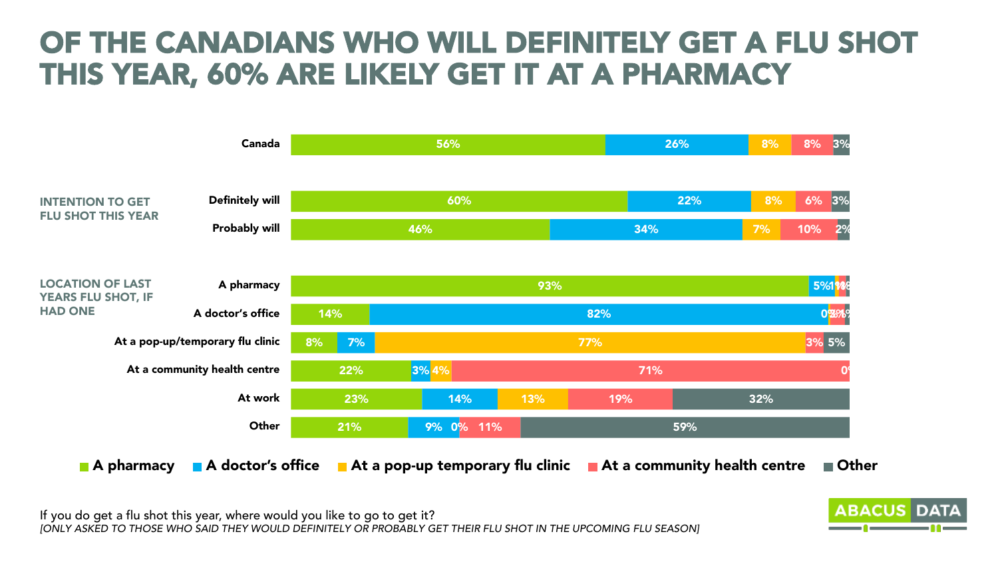## OF THE CANADIANS WHO WILL DEFINITELY GET A FLU SHOT THIS YEAR, 60% ARE LIKELY GET IT AT A PHARMACY



If you do get a flu shot this year, where would you like to go to get it? *[ONLY ASKED TO THOSE WHO SAID THEY WOULD DEFINITELY OR PROBABLY GET THEIR FLU SHOT IN THE UPCOMING FLU SEASON]*

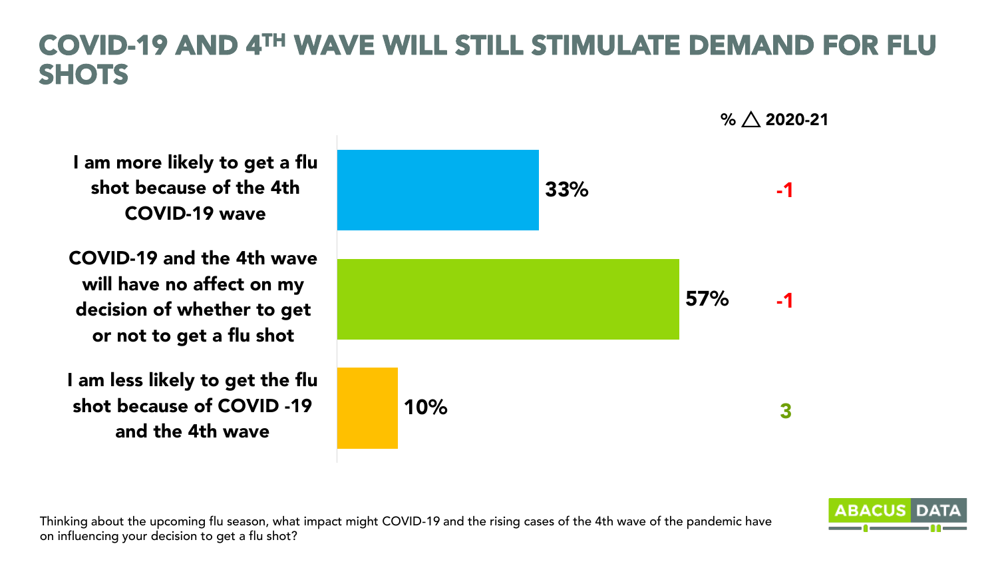#### COVID-19 AND 4TH WAVE WILL STILL STIMULATE DEMAND FOR FLU SHOTS

33% 57% 10% -1 -1 3

I am more likely to get a flu shot because of the 4th COVID-19 wave

COVID-19 and the 4th wave will have no affect on my decision of whether to get or not to get a flu shot

I am less likely to get the flu shot because of COVID -19 and the 4th wave

Thinking about the upcoming flu season, what impact might COVID-19 and the rising cases of the 4th wave of the pandemic have on influencing your decision to get a flu shot?



 $% \wedge 2020 - 21$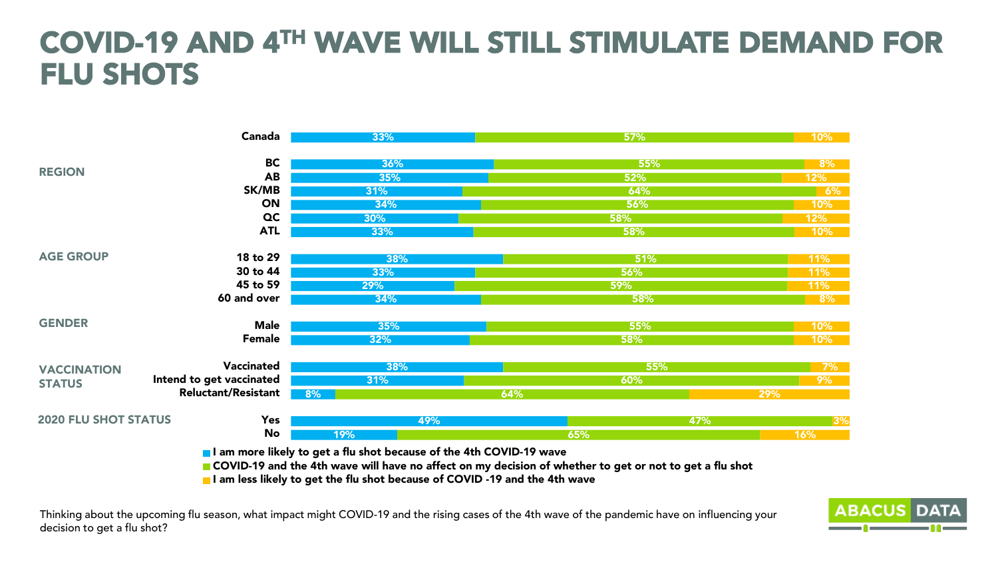## COVID-19 AND 4TH WAVE WILL STILL STIMULATE DEMAND FOR **FLU SHOTS**

|                             | Canada                     | 33% | 57% | 10%       |
|-----------------------------|----------------------------|-----|-----|-----------|
|                             | <b>BC</b>                  | 36% | 55% | 8%        |
| <b>REGION</b>               | <b>AB</b>                  | 35% | 52% | 12%       |
|                             | SK/MB                      | 31% | 64% | 6%        |
|                             | ON                         | 34% | 56% | 10%       |
|                             | QC                         | 30% | 58% | 12%       |
|                             | <b>ATL</b>                 | 33% | 58% | 10%       |
| <b>AGE GROUP</b>            |                            |     |     |           |
|                             | 18 to 29                   | 38% | 51% | 11%       |
|                             | 30 to 44                   | 33% | 56% | 11%       |
|                             | 45 to 59                   | 29% | 59% | 11%       |
|                             | 60 and over                | 34% | 58% | 8%        |
|                             |                            |     |     |           |
| <b>GENDER</b>               | <b>Male</b>                | 35% | 55% | 10%       |
|                             | Female                     | 32% | 58% | 10%       |
|                             |                            |     |     |           |
| <b>VACCINATION</b>          | Vaccinated                 | 38% | 55% | 7%        |
| <b>STATUS</b>               | Intend to get vaccinated   | 31% | 60% | 9%        |
|                             | <b>Reluctant/Resistant</b> | 8%  | 64% | 29%       |
| <b>2020 FLU SHOT STATUS</b> | Yes                        | 49% |     | 3%<br>47% |
|                             | <b>No</b>                  | 19% | 65% | 16%       |
|                             |                            |     |     |           |

I am more likely to get a flu shot because of the 4th COVID-19 wave

COVID-19 and the 4th wave will have no affect on my decision of whether to get or not to get a flu shot

I am less likely to get the flu shot because of COVID -19 and the 4th wave

Thinking about the upcoming flu season, what impact might COVID-19 and the rising cases of the 4th wave of the pandemic have on influencing your decision to get a flu shot?

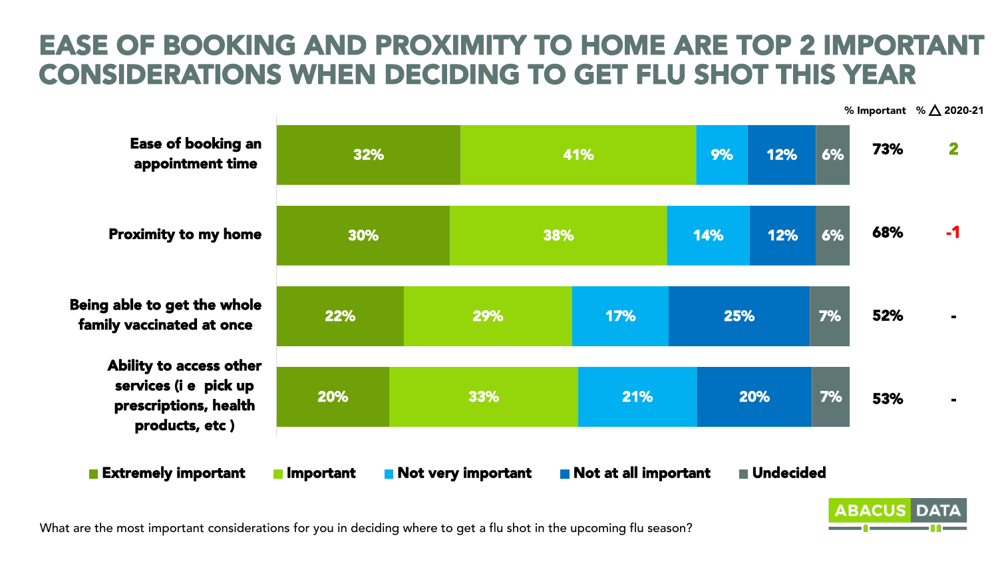#### EASE OF BOOKING AND PROXIMITY TO HOME ARE TOP 2 IMPORTANT CONSIDERATIONS WHEN DECIDING TO GET FLU SHOT THIS YEAR



% Important %  $\triangle$  2020-21

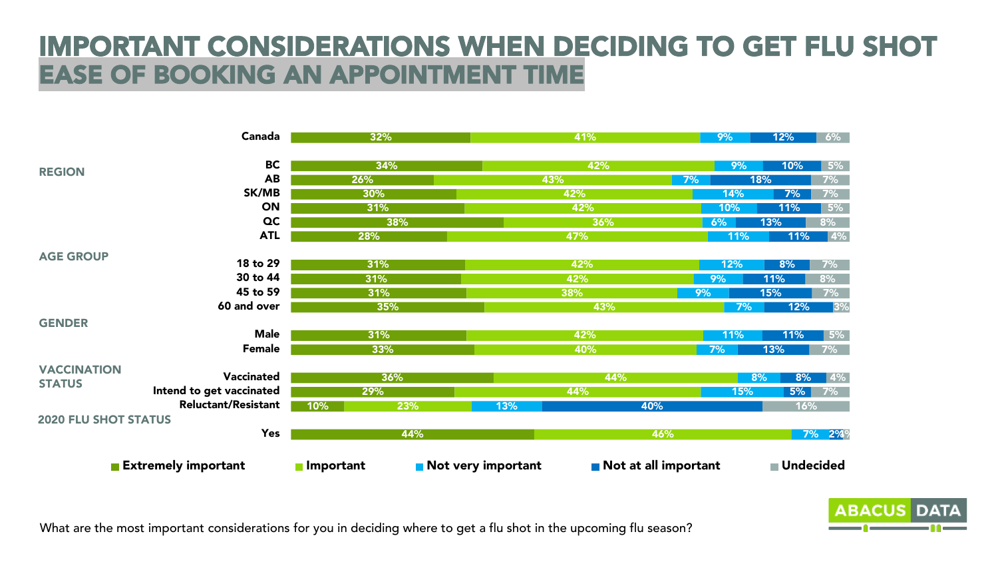#### IMPORTANT CONSIDERATIONS WHEN DECIDING TO GET FLU SHOT EASE OF BOOKING AN APPOINTMENT TIME

|                             | Canada                     |                  | 32% |                           | 41%                  |    | 9%  | 12%                | 6%        |
|-----------------------------|----------------------------|------------------|-----|---------------------------|----------------------|----|-----|--------------------|-----------|
| <b>REGION</b>               | <b>BC</b>                  |                  | 34% |                           | 42%                  |    | 9%  | 10%                | 5%        |
|                             | <b>AB</b>                  |                  | 26% |                           | 43%                  | 7% |     | 18%                | 7%        |
|                             | SK/MB                      |                  | 30% |                           | 42%                  |    | 14% | 7%                 | 7%        |
|                             | ON                         |                  | 31% |                           | 42%                  |    | 10% | 11%                | 5%        |
|                             | QC                         |                  | 38% |                           | 36%                  | 6% |     | 13%                | 8%        |
|                             | <b>ATL</b>                 |                  | 28% |                           | 47%                  |    | 11% | 11%                | 4%        |
| <b>AGE GROUP</b>            |                            |                  |     |                           |                      |    |     |                    |           |
|                             | 18 to 29                   |                  | 31% |                           | 42%                  |    | 12% | 8%                 | 7%        |
|                             | 30 to 44                   |                  | 31% |                           | 42%                  | 9% |     | 11%                | 8%        |
|                             | 45 to 59                   |                  | 31% |                           | 38%                  | 9% |     | 15%                | <b>7%</b> |
|                             | 60 and over                |                  | 35% |                           | 43%                  |    | 7%  | 12%                | 3%        |
| <b>GENDER</b>               |                            |                  |     |                           |                      |    |     |                    |           |
|                             | <b>Male</b>                |                  | 31% |                           | 42%                  |    | 11% | 11%                | 5%        |
|                             | Female                     |                  | 33% |                           | 40%                  | 7% |     | 13%                | 7%        |
| <b>VACCINATION</b>          |                            |                  |     |                           |                      |    |     |                    |           |
| <b>STATUS</b>               | Vaccinated                 |                  | 36% |                           | 44%                  |    |     | 8%<br>8%           | 4%        |
|                             | Intend to get vaccinated   |                  | 29% |                           | 44%                  |    | 15% | 5%                 | <b>7%</b> |
|                             | <b>Reluctant/Resistant</b> | 10%              | 23% | 13%                       | 40%                  |    |     | 16%                |           |
| <b>2020 FLU SHOT STATUS</b> |                            |                  |     |                           |                      |    |     |                    |           |
|                             | Yes                        |                  | 44% |                           | 46%                  |    |     |                    | 7% 2%     |
|                             | <b>Extremely important</b> | <b>Important</b> |     | <b>Not very important</b> | Not at all important |    |     | <b>■ Undecided</b> |           |

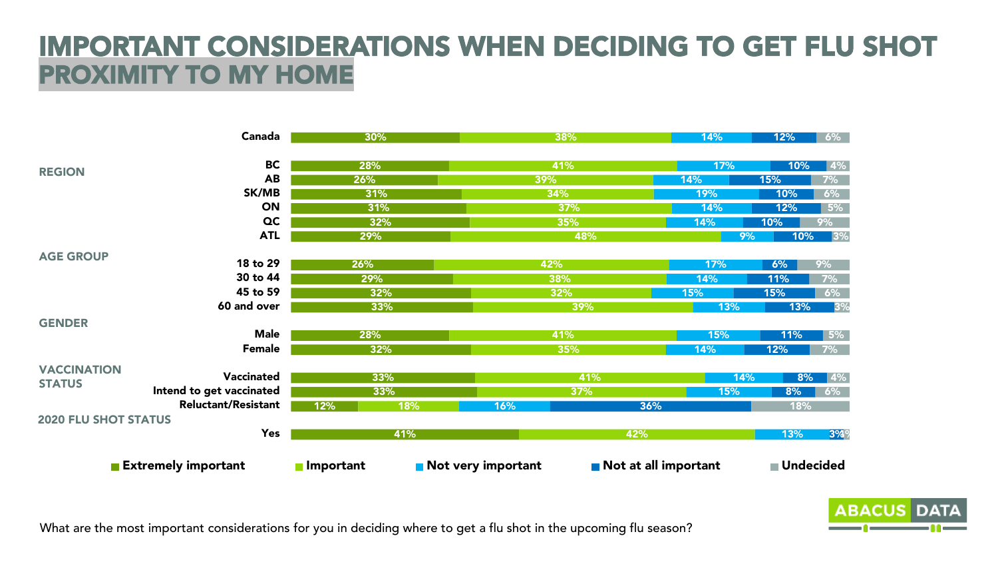#### IMPORTANT CONSIDERATIONS WHEN DECIDING TO GET FLU SHOT PROXIMITY TO MY HOME

|                             | Canada                     |           | 30% |                    | 38%                  | 14% | 12%                             | 6%  |
|-----------------------------|----------------------------|-----------|-----|--------------------|----------------------|-----|---------------------------------|-----|
|                             | <b>BC</b>                  |           | 28% |                    | 41%                  | 17% | 10%                             | 4%  |
| <b>REGION</b>               | <b>AB</b>                  | 26%       |     | 39%                |                      | 14% | 15%                             | 7%  |
|                             | SK/MB                      |           | 31% |                    | 34%                  | 19% | 10%                             | 6%  |
|                             | ON                         |           | 31% |                    | 37%                  | 14% | 12%                             | 5%  |
|                             | QC                         |           | 32% |                    | 35%                  | 14% | 10%                             | 9%  |
|                             | <b>ATL</b>                 |           | 29% |                    | 48%                  | 9%  | 10%                             | 3%  |
| <b>AGE GROUP</b>            |                            |           |     |                    |                      |     |                                 |     |
|                             | 18 to 29                   | 26%       |     |                    | 42%                  | 17% | 6%                              | 9%  |
|                             | 30 to 44                   |           | 29% |                    | 38%                  | 14% | 11%                             | 7%  |
|                             | 45 to 59                   |           | 32% |                    | 32%                  | 15% | 15%                             | 6%  |
|                             | 60 and over                |           | 33% |                    | 39%                  | 13% | 13%                             | 3%  |
| <b>GENDER</b>               |                            |           |     |                    |                      |     |                                 |     |
|                             | <b>Male</b>                |           | 28% |                    | 41%                  | 15% | 11%                             | 5%  |
|                             | <b>Female</b>              |           | 32% |                    | 35%                  | 14% | 12%                             | 7%  |
| <b>VACCINATION</b>          | Vaccinated                 |           | 33% |                    | 41%                  | 14% | 8%                              | 4%  |
| <b>STATUS</b>               | Intend to get vaccinated   |           | 33% |                    | 37%                  | 15% | 8%                              | 6%  |
|                             | <b>Reluctant/Resistant</b> | 12%       | 18% | 16%                | 36%                  |     | 18%                             |     |
| <b>2020 FLU SHOT STATUS</b> |                            |           |     |                    |                      |     |                                 |     |
|                             | Yes                        |           | 41% |                    | 42%                  |     | 13%                             | 3%% |
|                             | <b>Extremely important</b> | Important |     | Not very important | Not at all important |     | <b>Undecided</b><br><b>Tara</b> |     |

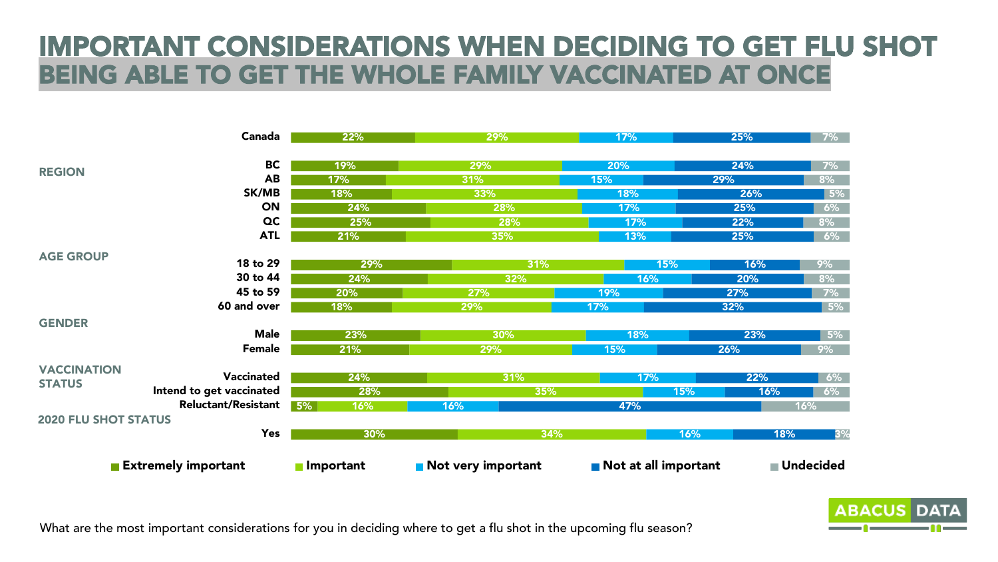#### IMPORTANT CONSIDERATIONS WHEN DECIDING TO GET FLU SHOT BEING ABLE TO GET THE WHOLE FAMILY VACCINATED AT ONCE

|                             | Canada                     | 22%              | 29%                |     | 17%                  | 25%        | 7%               |
|-----------------------------|----------------------------|------------------|--------------------|-----|----------------------|------------|------------------|
|                             | <b>BC</b>                  | 19%              | 29%                |     | 20%                  | 24%        | 7%               |
| <b>REGION</b>               | <b>AB</b>                  | 17%              | 31%                |     | 15%                  | 29%        | 8%               |
|                             | SK/MB                      | 18%              | 33%                |     | 18%                  | 26%        | 5%               |
|                             | ON                         | 24%              |                    | 28% | 17%                  | 25%        | 6%               |
|                             | QC                         | 25%              |                    | 28% | 17%                  | 22%        | 8%               |
|                             | <b>ATL</b>                 | 21%              |                    | 35% | 13%                  | 25%        | 6%               |
| <b>AGE GROUP</b>            |                            |                  |                    |     |                      |            |                  |
|                             | 18 to 29                   | 29%              |                    | 31% | 15%                  | 16%        | 9%               |
|                             | 30 to 44                   | 24%              |                    | 32% | 16%                  | 20%        | 8%               |
|                             | 45 to 59                   | 20%              | 27%                |     | 19%                  | 27%        | 7%               |
|                             | 60 and over                | 18%              | 29%                |     | 17%                  | 32%        | 5%               |
| <b>GENDER</b>               |                            |                  |                    |     |                      |            |                  |
|                             | <b>Male</b>                | 23%              |                    | 30% | 18%                  | 23%        | 5%               |
|                             | <b>Female</b>              | 21%              | 29%                |     | 15%                  | 26%        | 9%               |
| <b>VACCINATION</b>          | Vaccinated                 | 24%              |                    | 31% | 17%                  | 22%        | 6%               |
| <b>STATUS</b>               | Intend to get vaccinated   | 28%              |                    | 35% |                      | 15%<br>16% | 6%               |
|                             | <b>Reluctant/Resistant</b> | 5%<br>16%        | 16%                |     | 47%                  |            | 16%              |
| <b>2020 FLU SHOT STATUS</b> |                            |                  |                    |     |                      |            |                  |
|                             | Yes                        | 30%              |                    | 34% |                      | 16%<br>18% | 3%               |
|                             | <b>Extremely important</b> | <b>Important</b> | Not very important |     | Not at all important | <b>COL</b> | <b>Undecided</b> |

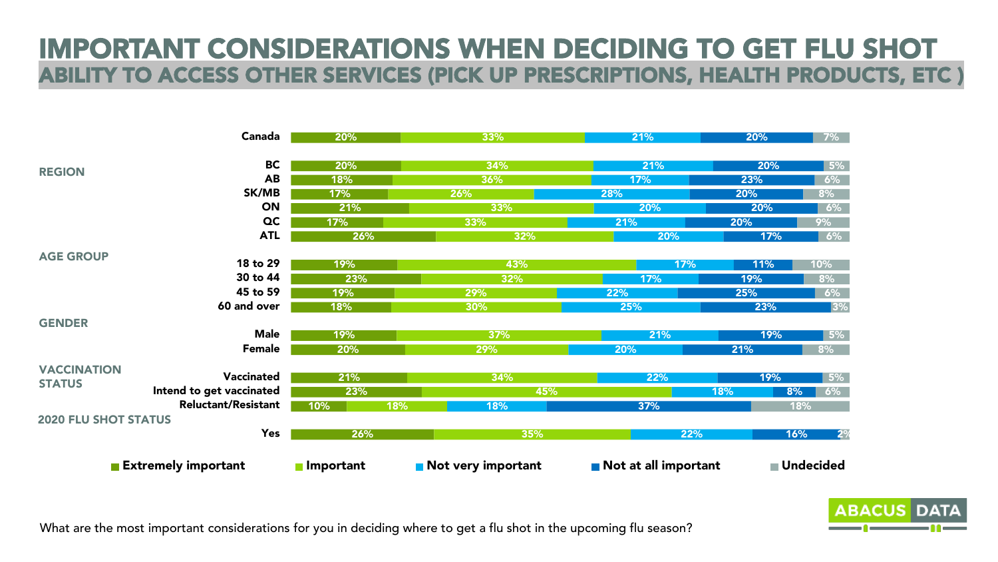#### IMPORTANT CONSIDERATIONS WHEN DECIDING TO GET FLU SHOT ABILITY TO ACCESS OTHER SERVICES (PICK UP PRESCRIPTIONS, HEALTH PRODUCTS, ETC )

|                             | Canada                                                 | 20%              |     | 33%                | 21%                  | 20%            | 7%               |
|-----------------------------|--------------------------------------------------------|------------------|-----|--------------------|----------------------|----------------|------------------|
| <b>REGION</b>               | <b>BC</b><br><b>AB</b>                                 | 20%              |     | 34%                | 21%                  | 20%            | 5%               |
|                             | SK/MB                                                  | 18%<br>17%       |     | 36%<br>26%         | 17%<br>28%           | 23%<br>20%     | 6%<br>8%         |
|                             | ON<br>QC                                               | 21%<br>17%       |     | 33%<br>33%         | 20%<br>21%           | 20%<br>20%     | 6%<br>9%         |
| <b>AGE GROUP</b>            | <b>ATL</b>                                             | 26%              |     | 32%                | 20%                  | 17%            | 6%               |
|                             | 18 to 29<br>30 to 44                                   | 19%<br>23%       |     | 43%<br>32%         | 17%<br>17%           | 11%<br>19%     | 10%<br>8%        |
|                             | 45 to 59<br>60 and over                                | 19%<br>18%       |     | 29%<br>30%         | 22%<br>25%           | 25%<br>23%     | 6%<br>3%         |
| <b>GENDER</b>               | <b>Male</b><br><b>Female</b>                           | 19%              |     | 37%                | 21%                  | 19%            | 5%               |
| <b>VACCINATION</b>          | Vaccinated                                             | 20%<br>21%       |     | 29%<br>34%         | 20%<br>22%           | 21%<br>19%     | 8%<br>5%         |
| <b>STATUS</b>               | Intend to get vaccinated<br><b>Reluctant/Resistant</b> | 23%<br>10%       | 18% | 45%<br>18%         | 37%                  | 18%            | 8%<br>6%<br>18%  |
| <b>2020 FLU SHOT STATUS</b> | Yes                                                    | 26%              |     | 35%                | 22%                  |                | 2%<br>16%        |
|                             | <b>Extremely important</b>                             | <b>Important</b> |     | Not very important | Not at all important | <b>College</b> | <b>Undecided</b> |

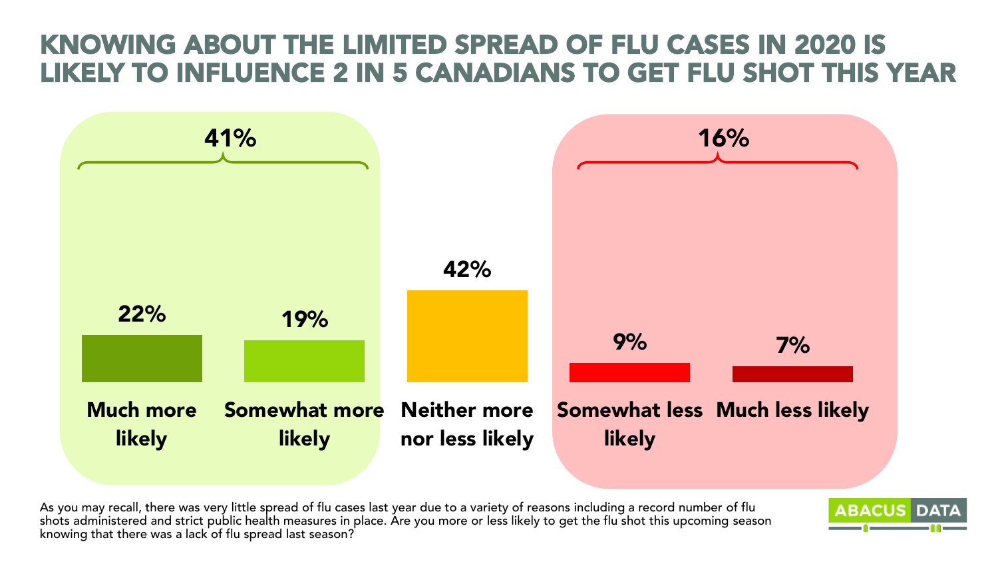#### KNOWING ABOUT THE LIMITED SPREAD OF FLU CASES IN 2020 IS LIKELY TO INFLUENCE 2 IN 5 CANADIANS TO GET FLU SHOT THIS YEAR



As you may recall, there was very little spread of flu cases last year due to a variety of reasons including a record number of flu shots administered and strict public health measures in place. Are you more or less likely to get the flu shot this upcoming season knowing that there was a lack of flu spread last season?